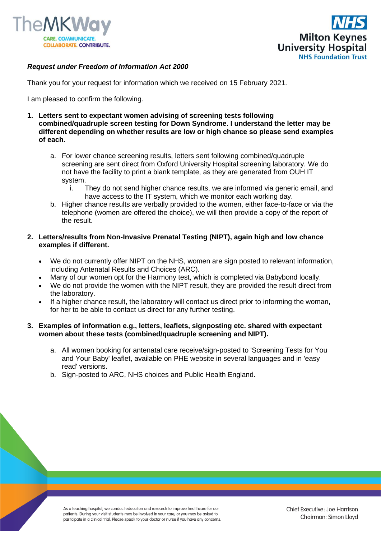



## *Request under Freedom of Information Act 2000*

Thank you for your request for information which we received on 15 February 2021.

I am pleased to confirm the following.

- **1. Letters sent to expectant women advising of screening tests following combined/quadruple screen testing for Down Syndrome. I understand the letter may be different depending on whether results are low or high chance so please send examples of each.**
	- a. For lower chance screening results, letters sent following combined/quadruple screening are sent direct from Oxford University Hospital screening laboratory. We do not have the facility to print a blank template, as they are generated from OUH IT system.
		- i. They do not send higher chance results, we are informed via generic email, and have access to the IT system, which we monitor each working day.
	- b. Higher chance results are verbally provided to the women, either face-to-face or via the telephone (women are offered the choice), we will then provide a copy of the report of the result.

## **2. Letters/results from Non-Invasive Prenatal Testing (NIPT), again high and low chance examples if different.**

- We do not currently offer NIPT on the NHS, women are sign posted to relevant information, including Antenatal Results and Choices (ARC).
- Many of our women opt for the Harmony test, which is completed via Babybond locally.
- We do not provide the women with the NIPT result, they are provided the result direct from the laboratory.
- If a higher chance result, the laboratory will contact us direct prior to informing the woman, for her to be able to contact us direct for any further testing.

## **3. Examples of information e.g., letters, leaflets, signposting etc. shared with expectant women about these tests (combined/quadruple screening and NIPT).**

- a. All women booking for antenatal care receive/sign-posted to 'Screening Tests for You and Your Baby' leaflet, available on PHE website in several languages and in 'easy read' versions.
- b. Sign-posted to ARC, NHS choices and Public Health England.

As a teaching hospital, we conduct education and research to improve healthcare for our patients. During your visit students may be involved in your care, or you may be asked to participate in a clinical trial. Please speak to your doctor or nurse if you have any concerns.